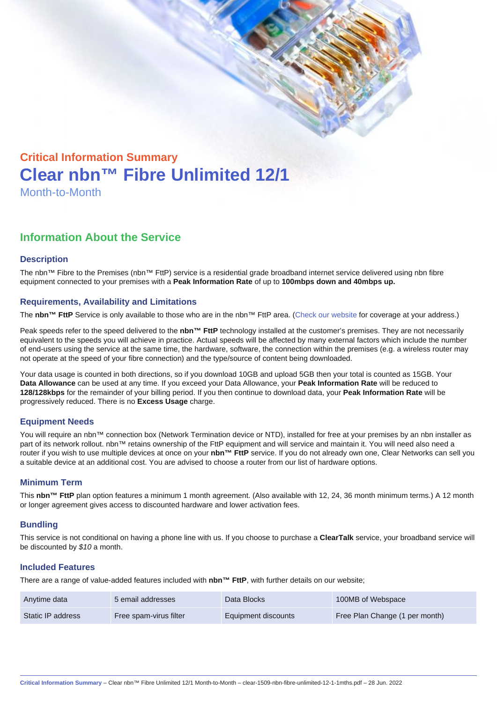# Critical Information Summary Clear nbn™ Fibre Unlimited 12/1 Month-to-Month

## Information About the Service

#### **Description**

The nbn™ Fibre to the Premises (nbn™ FttP) service is a residential grade broadband internet service delivered using nbn fibre equipment connected to your premises with a Peak Information Rate of up to 100mbps down and 40mbps up.

#### Requirements, Availability and Limitations

The nbn™ FttP Service is only available to those who are in the nbn™ FttP area. ([Check our website](https://www.clear.com.au/residential/nbn-fixed/) for coverage at your address.)

Peak speeds refer to the speed delivered to the nbn™ FttP technology installed at the customer's premises. They are not necessarily equivalent to the speeds you will achieve in practice. Actual speeds will be affected by many external factors which include the number of end-users using the service at the same time, the hardware, software, the connection within the premises (e.g. a wireless router may not operate at the speed of your fibre connection) and the type/source of content being downloaded.

Your data usage is counted in both directions, so if you download 10GB and upload 5GB then your total is counted as 15GB. Your Data Allowance can be used at any time. If you exceed your Data Allowance, your Peak Information Rate will be reduced to 128/128kbps for the remainder of your billing period. If you then continue to download data, your Peak Information Rate will be progressively reduced. There is no Excess Usage charge.

#### Equipment Needs

You will require an nbn™ connection box (Network Termination device or NTD), installed for free at your premises by an nbn installer as part of its network rollout. nbn™ retains ownership of the FttP equipment and will service and maintain it. You will need also need a router if you wish to use multiple devices at once on your nbn™ FttP service. If you do not already own one, Clear Networks can sell you a suitable device at an additional cost. You are advised to choose a router from our list of hardware options.

#### Minimum Term

This nbn™ FttP plan option features a minimum 1 month agreement. (Also available with 12, 24, 36 month minimum terms.) A 12 month or longer agreement gives access to discounted hardware and lower activation fees.

#### **Bundling**

This service is not conditional on having a phone line with us. If you choose to purchase a ClearTalk service, your broadband service will be discounted by \$10 a month.

#### Included Features

There are a range of value-added features included with nbn™ FttP , with further details on our website;

| Anytime data      | 5 email addresses      | Data Blocks         | 100MB of Webspace              |
|-------------------|------------------------|---------------------|--------------------------------|
| Static IP address | Free spam-virus filter | Equipment discounts | Free Plan Change (1 per month) |